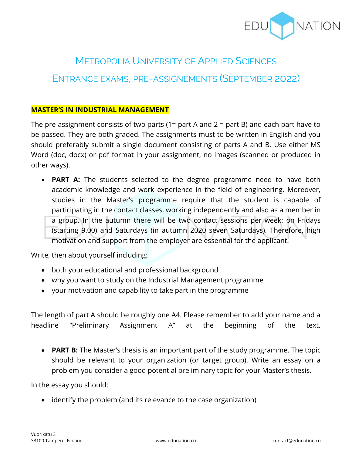

# METROPOLIA UNIVERSITY OF APPLIED SCIENCES

# ENTRANCE EXAMS, PRE-ASSIGNEMENTS (SEPTEMBER 2022)

#### **MASTER'S IN INDUSTRIAL MANAGEMENT**

The pre-assignment consists of two parts (1= part A and 2 = part B) and each part have to be passed. They are both graded. The assignments must to be written in English and you should preferably submit a single document consisting of parts A and B. Use either MS Word (doc, docx) or pdf format in your assignment, no images (scanned or produced in other ways).

• **PART A:** The students selected to the degree programme need to have both academic knowledge and work experience in the field of engineering. Moreover, studies in the Master's programme require that the student is capable of participating in the contact classes, working independently and also as a member in a group. In the autumn there will be two contact sessions per week: on Fridays (starting 9.00) and Saturdays (in autumn 2020 seven Saturdays). Therefore, high motivation and support from the employer are essential for the applicant.

Write, then about yourself including:

- both your educational and professional background
- why you want to study on the Industrial Management programme
- your motivation and capability to take part in the programme

The length of part A should be roughly one A4. Please remember to add your name and a headline "Preliminary Assignment A" at the beginning of the text.

• **PART B:** The Master's thesis is an important part of the study programme. The topic should be relevant to your organization (or target group). Write an essay on a problem you consider a good potential preliminary topic for your Master's thesis.

In the essay you should:

• identify the problem (and its relevance to the case organization)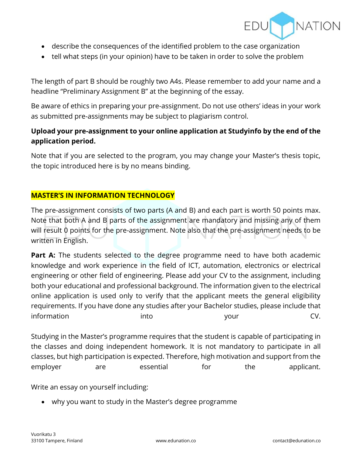

- describe the consequences of the identified problem to the case organization
- tell what steps (in your opinion) have to be taken in order to solve the problem

The length of part B should be roughly two A4s. Please remember to add your name and a headline "Preliminary Assignment B" at the beginning of the essay.

Be aware of ethics in preparing your pre-assignment. Do not use others' ideas in your work as submitted pre-assignments may be subject to plagiarism control.

# **Upload your pre-assignment to your online application at Studyinfo by the end of the application period.**

Note that if you are selected to the program, you may change your Master's thesis topic, the topic introduced here is by no means binding.

## **MASTER'S IN INFORMATION TECHNOLOGY**

The pre-assignment consists of two parts (A and B) and each part is worth 50 points max. Note that both A and B parts of the assignment are mandatory and missing any of them will result 0 points for the pre-assignment. Note also that the pre-assignment needs to be written in English.

**Part A:** The students selected to the degree programme need to have both academic knowledge and work experience in the field of ICT, automation, electronics or electrical engineering or other field of engineering. Please add your CV to the assignment, including both your educational and professional background. The information given to the electrical online application is used only to verify that the applicant meets the general eligibility requirements. If you have done any studies after your Bachelor studies, please include that information into your CV.

Studying in the Master's programme requires that the student is capable of participating in the classes and doing independent homework. It is not mandatory to participate in all classes, but high participation is expected. Therefore, high motivation and support from the employer are essential for the applicant.

Write an essay on yourself including:

• why you want to study in the Master's degree programme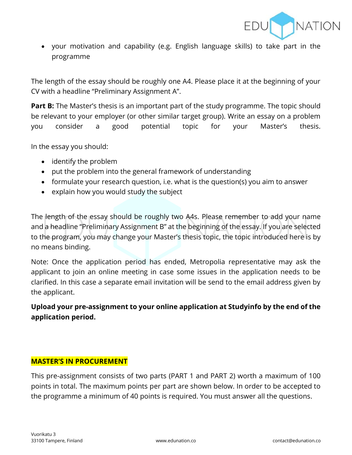

• your motivation and capability (e.g. English language skills) to take part in the programme

The length of the essay should be roughly one A4. Please place it at the beginning of your CV with a headline "Preliminary Assignment A".

**Part B:** The Master's thesis is an important part of the study programme. The topic should be relevant to your employer (or other similar target group). Write an essay on a problem you consider a good potential topic for your Master's thesis.

In the essay you should:

- identify the problem
- put the problem into the general framework of understanding
- formulate your research question, i.e. what is the question(s) you aim to answer
- explain how you would study the subject

The length of the essay should be roughly two A4s. Please remember to add your name and a headline "Preliminary Assignment B" at the beginning of the essay. If you are selected to the program, you may change your Master's thesis topic, the topic introduced here is by no means binding.

Note: Once the application period has ended, Metropolia representative may ask the applicant to join an online meeting in case some issues in the application needs to be clarified. In this case a separate email invitation will be send to the email address given by the applicant.

**Upload your pre-assignment to your online application at Studyinfo by the end of the application period.**

#### **MASTER'S IN PROCUREMENT**

This pre-assignment consists of two parts (PART 1 and PART 2) worth a maximum of 100 points in total. The maximum points per part are shown below. In order to be accepted to the programme a minimum of 40 points is required. You must answer all the questions.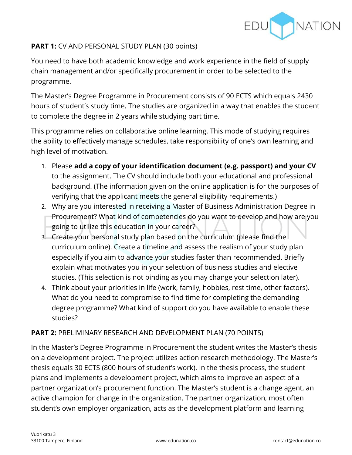

# **PART 1:** CV AND PERSONAL STUDY PLAN (30 points)

You need to have both academic knowledge and work experience in the field of supply chain management and/or specifically procurement in order to be selected to the programme.

The Master's Degree Programme in Procurement consists of 90 ECTS which equals 2430 hours of student's study time. The studies are organized in a way that enables the student to complete the degree in 2 years while studying part time.

This programme relies on collaborative online learning. This mode of studying requires the ability to effectively manage schedules, take responsibility of one's own learning and high level of motivation.

- 1. Please **add a copy of your identification document (e.g. passport) and your CV** to the assignment. The CV should include both your educational and professional background. (The information given on the online application is for the purposes of verifying that the applicant meets the general eligibility requirements.)
- 2. Why are you interested in receiving a Master of Business Administration Degree in Procurement? What kind of competencies do you want to develop and how are you going to utilize this education in your career?
- 3. Create your personal study plan based on the curriculum (please find the curriculum online). Create a timeline and assess the realism of your study plan especially if you aim to advance your studies faster than recommended. Briefly explain what motivates you in your selection of business studies and elective studies. (This selection is not binding as you may change your selection later).
- 4. Think about your priorities in life (work, family, hobbies, rest time, other factors). What do you need to compromise to find time for completing the demanding degree programme? What kind of support do you have available to enable these studies?

## **PART 2:** PRELIMINARY RESEARCH AND DEVELOPMENT PLAN (70 POINTS)

In the Master's Degree Programme in Procurement the student writes the Master's thesis on a development project. The project utilizes action research methodology. The Master's thesis equals 30 ECTS (800 hours of student's work). In the thesis process, the student plans and implements a development project, which aims to improve an aspect of a partner organization's procurement function. The Master's student is a change agent, an active champion for change in the organization. The partner organization, most often student's own employer organization, acts as the development platform and learning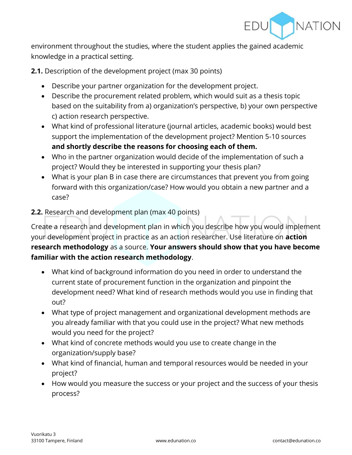

environment throughout the studies, where the student applies the gained academic knowledge in a practical setting.

**2.1.** Description of the development project (max 30 points)

- Describe your partner organization for the development project.
- Describe the procurement related problem, which would suit as a thesis topic based on the suitability from a) organization's perspective, b) your own perspective c) action research perspective.
- What kind of professional literature (journal articles, academic books) would best support the implementation of the development project? Mention 5-10 sources **and shortly describe the reasons for choosing each of them.**
- Who in the partner organization would decide of the implementation of such a project? Would they be interested in supporting your thesis plan?
- What is your plan B in case there are circumstances that prevent you from going forward with this organization/case? How would you obtain a new partner and a case?

## **2.2.** Research and development plan (max 40 points)

Create a research and development plan in which you describe how you would implement your development project in practice as an action researcher. Use literature on **action research methodology** as a source. **Your answers should show that you have become familiar with the action research methodology**.

- What kind of background information do you need in order to understand the current state of procurement function in the organization and pinpoint the development need? What kind of research methods would you use in finding that out?
- What type of project management and organizational development methods are you already familiar with that you could use in the project? What new methods would you need for the project?
- What kind of concrete methods would you use to create change in the organization/supply base?
- What kind of financial, human and temporal resources would be needed in your project?
- How would you measure the success or your project and the success of your thesis process?